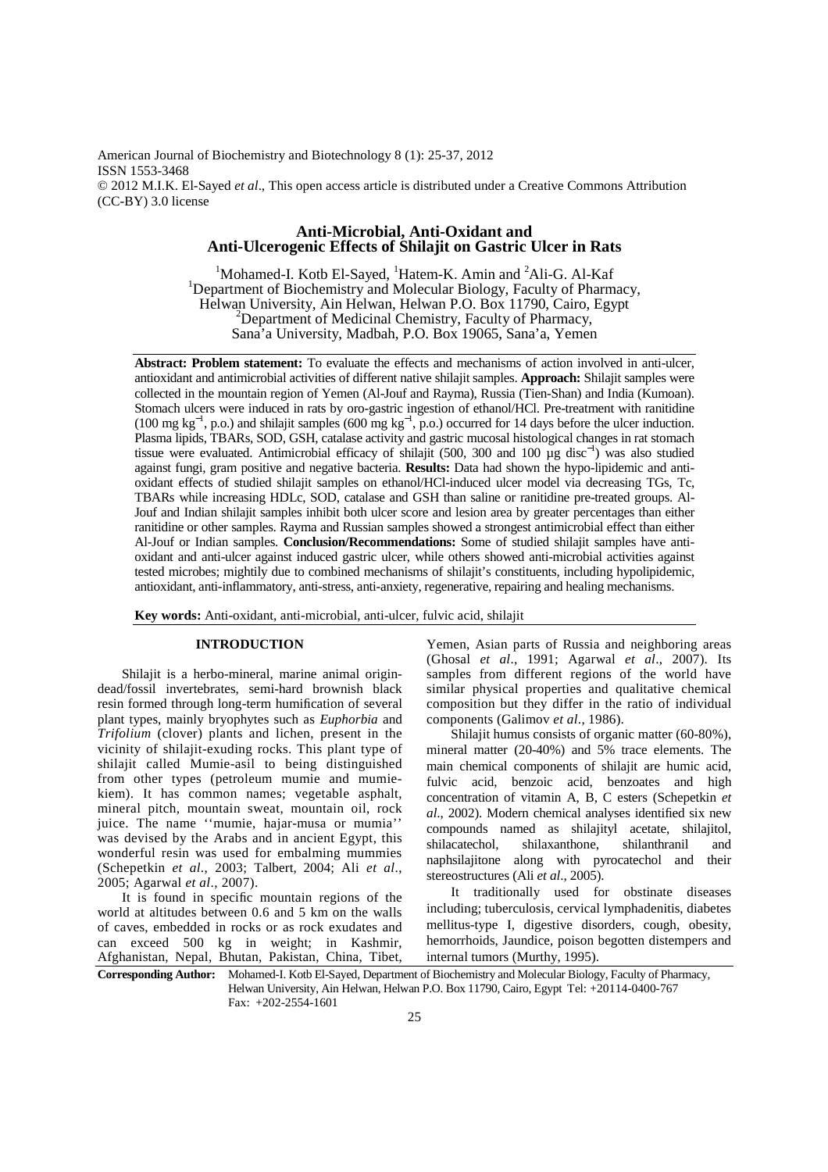American Journal of Biochemistry and Biotechnology 8 (1): 25-37, 2012 ISSN 1553-3468 © 2012 M.I.K. El-Sayed *et al*., This open access article is distributed under a Creative Commons Attribution (CC-BY) 3.0 license

# **Anti-Microbial, Anti-Oxidant and Anti-Ulcerogenic Effects of Shilajit on Gastric Ulcer in Rats**

<sup>1</sup>Mohamed-I. Kotb El-Sayed, <sup>1</sup>Hatem-K. Amin and <sup>2</sup>Ali-G. Al-Kaf <sup>1</sup>Department of Biochemistry and Molecular Biology, Faculty of Pharmacy, Helwan University, Ain Helwan, Helwan P.O. Box 11790, Cairo, Egypt  $2$ Department of Medicinal Chemistry, Faculty of Pharmacy, Sana'a University, Madbah, P.O. Box 19065, Sana'a, Yemen

**Abstract: Problem statement:** To evaluate the effects and mechanisms of action involved in anti-ulcer, antioxidant and antimicrobial activities of different native shilajit samples. **Approach:** Shilajit samples were collected in the mountain region of Yemen (Al-Jouf and Rayma), Russia (Tien-Shan) and India (Kumoan). Stomach ulcers were induced in rats by oro-gastric ingestion of ethanol/HCl. Pre-treatment with ranitidine (100 mg kg<sup>-1</sup>, p.o.) and shilajit samples (600 mg kg<sup>-1</sup>, p.o.) occurred for 14 days before the ulcer induction. Plasma lipids, TBARs, SOD, GSH, catalase activity and gastric mucosal histological changes in rat stomach tissue were evaluated. Antimicrobial efficacy of shilajit (500, 300 and 100 μg disc<sup>-1</sup>) was also studied against fungi, gram positive and negative bacteria. **Results:** Data had shown the hypo-lipidemic and antioxidant effects of studied shilajit samples on ethanol/HCl-induced ulcer model via decreasing TGs, Tc, TBARs while increasing HDLc, SOD, catalase and GSH than saline or ranitidine pre-treated groups. Al-Jouf and Indian shilajit samples inhibit both ulcer score and lesion area by greater percentages than either ranitidine or other samples. Rayma and Russian samples showed a strongest antimicrobial effect than either Al-Jouf or Indian samples. **Conclusion/Recommendations:** Some of studied shilajit samples have antioxidant and anti-ulcer against induced gastric ulcer, while others showed anti-microbial activities against tested microbes; mightily due to combined mechanisms of shilajit's constituents, including hypolipidemic, antioxidant, anti-inflammatory, anti-stress, anti-anxiety, regenerative, repairing and healing mechanisms.

**Key words:** Anti-oxidant, anti-microbial, anti-ulcer, fulvic acid, shilajit

#### **INTRODUCTION**

 Shilajit is a herbo-mineral, marine animal origindead/fossil invertebrates, semi-hard brownish black resin formed through long-term humification of several plant types, mainly bryophytes such as *Euphorbia* and *Trifolium* (clover) plants and lichen, present in the vicinity of shilajit-exuding rocks. This plant type of shilajit called Mumie-asil to being distinguished from other types (petroleum mumie and mumiekiem). It has common names; vegetable asphalt, mineral pitch, mountain sweat, mountain oil, rock juice. The name ''mumie, hajar-musa or mumia'' was devised by the Arabs and in ancient Egypt, this wonderful resin was used for embalming mummies (Schepetkin *et al*., 2003; Talbert, 2004; Ali *et al*., 2005; Agarwal *et al*., 2007).

 It is found in specific mountain regions of the world at altitudes between 0.6 and 5 km on the walls of caves, embedded in rocks or as rock exudates and can exceed 500 kg in weight; in Kashmir, Afghanistan, Nepal, Bhutan, Pakistan, China, Tibet,

Yemen, Asian parts of Russia and neighboring areas (Ghosal *et al*., 1991; Agarwal *et al*., 2007). Its samples from different regions of the world have similar physical properties and qualitative chemical composition but they differ in the ratio of individual components (Galimov *et al*., 1986).

 Shilajit humus consists of organic matter (60-80%), mineral matter (20-40%) and 5% trace elements. The main chemical components of shilajit are humic acid, fulvic acid, benzoic acid, benzoates and high concentration of vitamin A, B, C esters (Schepetkin *et al*., 2002). Modern chemical analyses identified six new compounds named as shilajityl acetate, shilajitol, shilacatechol, shilaxanthone, shilanthranil and naphsilajitone along with pyrocatechol and their stereostructures (Ali *et al*., 2005).

 It traditionally used for obstinate diseases including; tuberculosis, cervical lymphadenitis, diabetes mellitus-type I, digestive disorders, cough, obesity, hemorrhoids, Jaundice, poison begotten distempers and internal tumors (Murthy, 1995).

**Corresponding Author:** Mohamed-I. Kotb El-Sayed, Department of Biochemistry and Molecular Biology, Faculty of Pharmacy, Helwan University, Ain Helwan, Helwan P.O. Box 11790, Cairo, Egypt Tel: +20114-0400-767 Fax: +202-2554-1601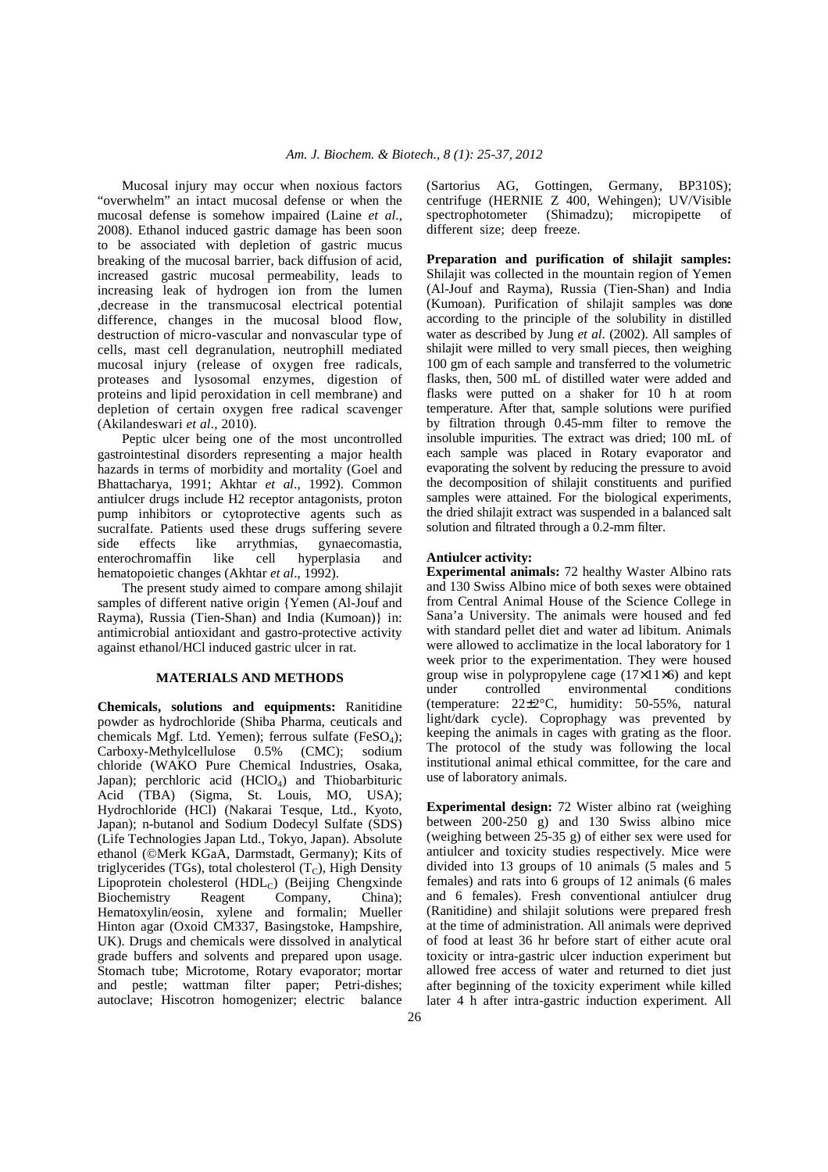Mucosal injury may occur when noxious factors "overwhelm" an intact mucosal defense or when the mucosal defense is somehow impaired (Laine *et al*., 2008). Ethanol induced gastric damage has been soon to be associated with depletion of gastric mucus breaking of the mucosal barrier, back diffusion of acid, increased gastric mucosal permeability, leads to increasing leak of hydrogen ion from the lumen ,decrease in the transmucosal electrical potential difference, changes in the mucosal blood flow, destruction of micro-vascular and nonvascular type of cells, mast cell degranulation, neutrophill mediated mucosal injury (release of oxygen free radicals, proteases and lysosomal enzymes, digestion of proteins and lipid peroxidation in cell membrane) and depletion of certain oxygen free radical scavenger (Akilandeswari *et al*., 2010).

 Peptic ulcer being one of the most uncontrolled gastrointestinal disorders representing a major health hazards in terms of morbidity and mortality (Goel and Bhattacharya, 1991; Akhtar *et al*., 1992). Common antiulcer drugs include H2 receptor antagonists, proton pump inhibitors or cytoprotective agents such as sucralfate. Patients used these drugs suffering severe side effects like arrythmias, gynaecomastia. effects like arrythmias, enterochromaffin like cell hyperplasia and hematopoietic changes (Akhtar *et al*., 1992).

 The present study aimed to compare among shilajit samples of different native origin {Yemen (Al-Jouf and Rayma), Russia (Tien-Shan) and India (Kumoan)} in: antimicrobial antioxidant and gastro-protective activity against ethanol/HCl induced gastric ulcer in rat.

### **MATERIALS AND METHODS**

**Chemicals, solutions and equipments:** Ranitidine powder as hydrochloride (Shiba Pharma, ceuticals and chemicals Mgf. Ltd. Yemen); ferrous sulfate (FeSO<sub>4</sub>);<br>Carboxy-Methylcellulose 0.5% (CMC); sodium  $Carboxy-Methylcellulose$   $0.5%$ chloride (WAKO Pure Chemical Industries, Osaka, Japan); perchloric acid (HClO4) and Thiobarbituric Acid (TBA) (Sigma, St. Louis, MO, USA); Hydrochloride (HCl) (Nakarai Tesque, Ltd., Kyoto, Japan); n-butanol and Sodium Dodecyl Sulfate (SDS) (Life Technologies Japan Ltd., Tokyo, Japan). Absolute ethanol (©Merk KGaA, Darmstadt, Germany); Kits of triglycerides (TGs), total cholesterol  $(T<sub>C</sub>)$ , High Density Lipoprotein cholesterol (HDL<sub>C</sub>) (Beijing Chengxinde<br>Biochemistry Reagent Company, China): Biochemistry Hematoxylin/eosin, xylene and formalin; Mueller Hinton agar (Oxoid CM337, Basingstoke, Hampshire, UK). Drugs and chemicals were dissolved in analytical grade buffers and solvents and prepared upon usage. Stomach tube; Microtome, Rotary evaporator; mortar and pestle; wattman filter paper; Petri-dishes; autoclave; Hiscotron homogenizer; electric balance

(Sartorius AG, Gottingen, Germany, BP310S); centrifuge (HERNIE Z 400, Wehingen); UV/Visible spectrophotometer (Shimadzu); micropipette of different size; deep freeze.

**Preparation and purification of shilajit samples:**  Shilajit was collected in the mountain region of Yemen (Al-Jouf and Rayma), Russia (Tien-Shan) and India (Kumoan). Purification of shilajit samples was done according to the principle of the solubility in distilled water as described by Jung *et al*. (2002). All samples of shilajit were milled to very small pieces, then weighing 100 gm of each sample and transferred to the volumetric flasks, then, 500 mL of distilled water were added and flasks were putted on a shaker for 10 h at room temperature. After that, sample solutions were purified by filtration through 0.45-mm filter to remove the insoluble impurities. The extract was dried; 100 mL of each sample was placed in Rotary evaporator and evaporating the solvent by reducing the pressure to avoid the decomposition of shilajit constituents and purified samples were attained. For the biological experiments, the dried shilajit extract was suspended in a balanced salt solution and filtrated through a 0.2-mm filter.

#### **Antiulcer activity:**

**Experimental animals:** 72 healthy Waster Albino rats and 130 Swiss Albino mice of both sexes were obtained from Central Animal House of the Science College in Sana'a University. The animals were housed and fed with standard pellet diet and water ad libitum. Animals were allowed to acclimatize in the local laboratory for 1 week prior to the experimentation. They were housed group wise in polypropylene cage (17×11×6) and kept<br>under controlled environmental conditions under controlled environmental (temperature: 22±2°C, humidity: 50-55%, natural light/dark cycle). Coprophagy was prevented by keeping the animals in cages with grating as the floor. The protocol of the study was following the local institutional animal ethical committee, for the care and use of laboratory animals.

**Experimental design:** 72 Wister albino rat (weighing between 200-250 g) and 130 Swiss albino mice (weighing between 25-35 g) of either sex were used for antiulcer and toxicity studies respectively. Mice were divided into 13 groups of 10 animals (5 males and 5 females) and rats into 6 groups of 12 animals (6 males and 6 females). Fresh conventional antiulcer drug (Ranitidine) and shilajit solutions were prepared fresh at the time of administration. All animals were deprived of food at least 36 hr before start of either acute oral toxicity or intra-gastric ulcer induction experiment but allowed free access of water and returned to diet just after beginning of the toxicity experiment while killed later 4 h after intra-gastric induction experiment. All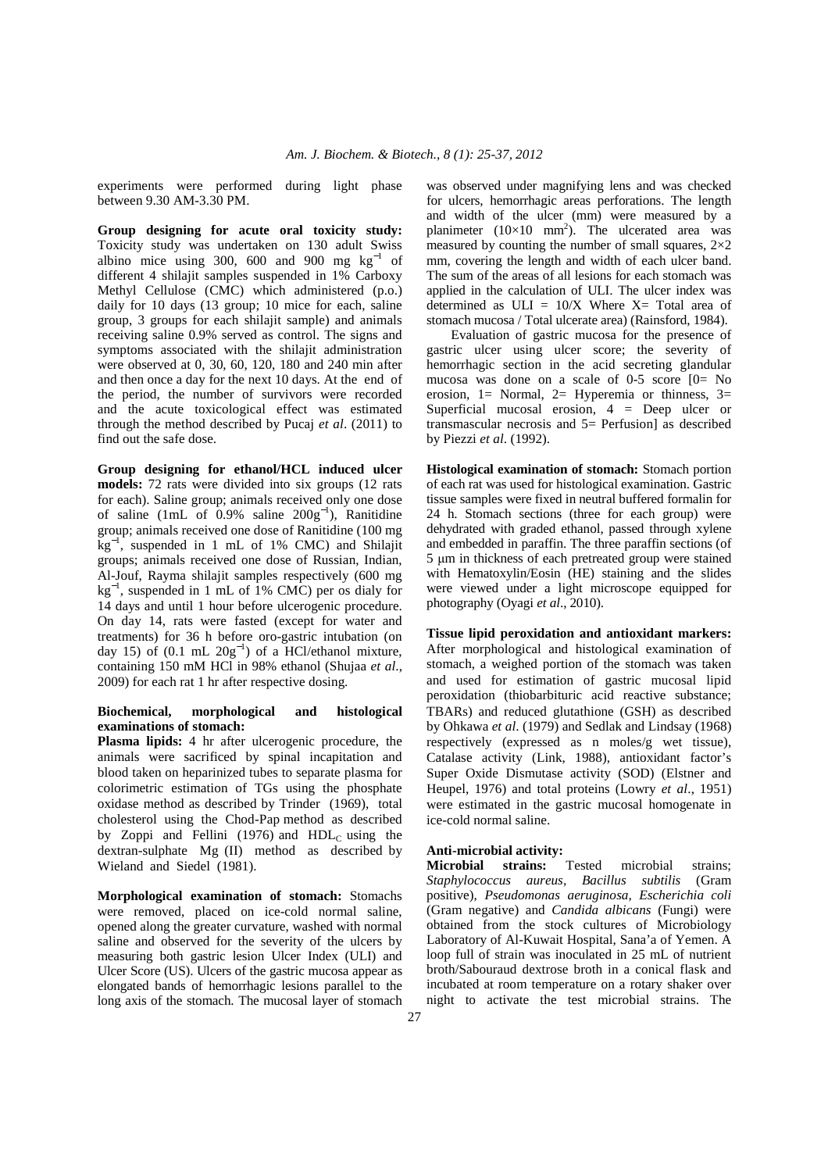experiments were performed during light phase between 9.30 AM-3.30 PM.

**Group designing for acute oral toxicity study:**  Toxicity study was undertaken on 130 adult Swiss albino mice using 300, 600 and 900 mg  $kg^{-1}$  of different 4 shilajit samples suspended in 1% Carboxy Methyl Cellulose (CMC) which administered (p.o.) daily for 10 days (13 group; 10 mice for each, saline group, 3 groups for each shilajit sample) and animals receiving saline 0.9% served as control. The signs and symptoms associated with the shilajit administration were observed at 0, 30, 60, 120, 180 and 240 min after and then once a day for the next 10 days. At the end of the period, the number of survivors were recorded and the acute toxicological effect was estimated through the method described by Pucaj *et al*. (2011) to find out the safe dose.

**Group designing for ethanol/HCL induced ulcer models:** 72 rats were divided into six groups (12 rats for each). Saline group; animals received only one dose of saline (1mL of  $0.9\%$  saline  $200g^{-1}$ ), Ranitidine group; animals received one dose of Ranitidine (100 mg kg<sup>−</sup><sup>1</sup> , suspended in 1 mL of 1% CMC) and Shilajit groups; animals received one dose of Russian, Indian, Al-Jouf, Rayma shilajit samples respectively (600 mg kg<sup>−</sup><sup>1</sup> , suspended in 1 mL of 1% CMC) per os dialy for 14 days and until 1 hour before ulcerogenic procedure. On day 14, rats were fasted (except for water and treatments) for 36 h before oro-gastric intubation (on day 15) of  $(0.1 \text{ mL } 20g^{-1})$  of a HCl/ethanol mixture, containing 150 mM HCl in 98% ethanol (Shujaa *et al*., 2009) for each rat 1 hr after respective dosing.

### **Biochemical, morphological and histological examinations of stomach:**

**Plasma lipids:** 4 hr after ulcerogenic procedure, the animals were sacrificed by spinal incapitation and blood taken on heparinized tubes to separate plasma for colorimetric estimation of TGs using the phosphate oxidase method as described by Trinder (1969), total cholesterol using the Chod-Pap method as described by Zoppi and Fellini (1976) and  $HDL<sub>C</sub>$  using the dextran-sulphate Mg (II) method as described by Wieland and Siedel (1981).

**Morphological examination of stomach:** Stomachs were removed, placed on ice-cold normal saline, opened along the greater curvature, washed with normal saline and observed for the severity of the ulcers by measuring both gastric lesion Ulcer Index (ULI) and Ulcer Score (US). Ulcers of the gastric mucosa appear as elongated bands of hemorrhagic lesions parallel to the long axis of the stomach. The mucosal layer of stomach

was observed under magnifying lens and was checked for ulcers, hemorrhagic areas perforations. The length and width of the ulcer (mm) were measured by a planimeter  $(10\times10 \text{ mm}^2)$ . The ulcerated area was measured by counting the number of small squares,  $2\times2$ mm, covering the length and width of each ulcer band. The sum of the areas of all lesions for each stomach was applied in the calculation of ULI. The ulcer index was determined as  $ULI = 10/X$  Where  $X = Total$  area of stomach mucosa / Total ulcerate area) (Rainsford, 1984).

 Evaluation of gastric mucosa for the presence of gastric ulcer using ulcer score; the severity of hemorrhagic section in the acid secreting glandular mucosa was done on a scale of 0-5 score  $[0=$  No erosion, 1 = Normal, 2 = Hyperemia or thinness,  $3=$ Superficial mucosal erosion,  $4 = \text{Deep}$  ulcer or transmascular necrosis and 5= Perfusion] as described by Piezzi *et al*. (1992).

**Histological examination of stomach:** Stomach portion of each rat was used for histological examination. Gastric tissue samples were fixed in neutral buffered formalin for 24 h. Stomach sections (three for each group) were dehydrated with graded ethanol, passed through xylene and embedded in paraffin. The three paraffin sections (of 5 µm in thickness of each pretreated group were stained with Hematoxylin/Eosin (HE) staining and the slides were viewed under a light microscope equipped for photography (Oyagi *et al*., 2010).

**Tissue lipid peroxidation and antioxidant markers:**  After morphological and histological examination of stomach, a weighed portion of the stomach was taken and used for estimation of gastric mucosal lipid peroxidation (thiobarbituric acid reactive substance; TBARs) and reduced glutathione (GSH) as described by Ohkawa *et al*. (1979) and Sedlak and Lindsay (1968) respectively (expressed as n moles/g wet tissue), Catalase activity (Link, 1988), antioxidant factor's Super Oxide Dismutase activity (SOD) (Elstner and Heupel, 1976) and total proteins (Lowry *et al*., 1951) were estimated in the gastric mucosal homogenate in ice-cold normal saline.

#### **Anti-microbial activity:**

**Microbial strains:** Tested microbial strains; *Staphylococcus aureus, Bacillus subtilis* (Gram positive), *Pseudomonas aeruginosa*, *Escherichia coli*  (Gram negative) and *Candida albicans* (Fungi) were obtained from the stock cultures of Microbiology Laboratory of Al-Kuwait Hospital, Sana'a of Yemen. A loop full of strain was inoculated in 25 mL of nutrient broth/Sabouraud dextrose broth in a conical flask and incubated at room temperature on a rotary shaker over night to activate the test microbial strains. The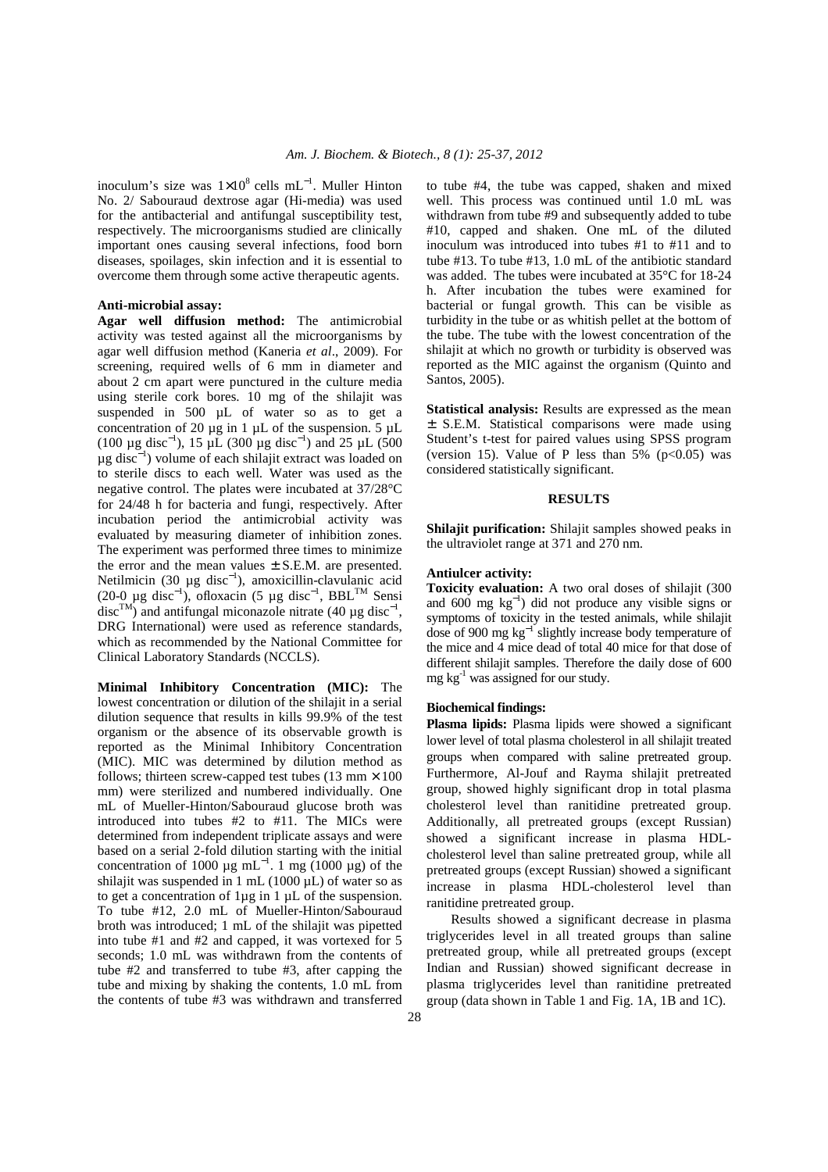inoculum's size was  $1\times10^8$  cells mL<sup>-1</sup>. Muller Hinton No. 2/ Sabouraud dextrose agar (Hi-media) was used for the antibacterial and antifungal susceptibility test, respectively. The microorganisms studied are clinically important ones causing several infections, food born diseases, spoilages, skin infection and it is essential to overcome them through some active therapeutic agents.

### **Anti-microbial assay:**

**Agar well diffusion method:** The antimicrobial activity was tested against all the microorganisms by agar well diffusion method (Kaneria *et al*., 2009). For screening, required wells of 6 mm in diameter and about 2 cm apart were punctured in the culture media using sterile cork bores. 10 mg of the shilajit was suspended in 500 µL of water so as to get a concentration of 20  $\mu$ g in 1  $\mu$ L of the suspension. 5  $\mu$ L (100 μg disc<sup>-1</sup>), 15 μL (300 μg disc<sup>-1</sup>) and 25 μL (500 µg disc<sup>-1</sup>) volume of each shilajit extract was loaded on to sterile discs to each well. Water was used as the negative control. The plates were incubated at 37/28°C for 24/48 h for bacteria and fungi, respectively. After incubation period the antimicrobial activity was evaluated by measuring diameter of inhibition zones. The experiment was performed three times to minimize the error and the mean values  $\pm$  S.E.M. are presented. Netilmicin (30 μg disc<sup>-1</sup>), amoxicillin-clavulanic acid (20-0 μg disc<sup>-1</sup>), ofloxacin (5 μg disc<sup>-1</sup>, BBL<sup>TM</sup> Sensi disc<sup>™</sup>) and antifungal miconazole nitrate (40 µg disc<sup>-1</sup>, DRG International) were used as reference standards, which as recommended by the National Committee for Clinical Laboratory Standards (NCCLS).

**Minimal Inhibitory Concentration (MIC):** The lowest concentration or dilution of the shilajit in a serial dilution sequence that results in kills 99.9% of the test organism or the absence of its observable growth is reported as the Minimal Inhibitory Concentration (MIC). MIC was determined by dilution method as follows; thirteen screw-capped test tubes  $(13 \text{ mm} \times 100$ mm) were sterilized and numbered individually. One mL of Mueller-Hinton/Sabouraud glucose broth was introduced into tubes #2 to #11. The MICs were determined from independent triplicate assays and were based on a serial 2-fold dilution starting with the initial concentration of 1000 μg mL<sup>-1</sup>. 1 mg (1000 μg) of the shilajit was suspended in 1 mL  $(1000 \mu L)$  of water so as to get a concentration of 1µg in 1 µL of the suspension. To tube #12, 2.0 mL of Mueller-Hinton/Sabouraud broth was introduced; 1 mL of the shilajit was pipetted into tube #1 and #2 and capped, it was vortexed for 5 seconds; 1.0 mL was withdrawn from the contents of tube #2 and transferred to tube #3, after capping the tube and mixing by shaking the contents, 1.0 mL from the contents of tube #3 was withdrawn and transferred

to tube #4, the tube was capped, shaken and mixed well. This process was continued until 1.0 mL was withdrawn from tube #9 and subsequently added to tube #10, capped and shaken. One mL of the diluted inoculum was introduced into tubes #1 to #11 and to tube #13. To tube #13, 1.0 mL of the antibiotic standard was added. The tubes were incubated at 35°C for 18-24 h. After incubation the tubes were examined for bacterial or fungal growth. This can be visible as turbidity in the tube or as whitish pellet at the bottom of the tube. The tube with the lowest concentration of the shilajit at which no growth or turbidity is observed was reported as the MIC against the organism (Quinto and Santos, 2005).

**Statistical analysis:** Results are expressed as the mean ± S.E.M. Statistical comparisons were made using Student's t-test for paired values using SPSS program (version 15). Value of P less than  $5\%$  (p<0.05) was considered statistically significant.

#### **RESULTS**

**Shilajit purification:** Shilajit samples showed peaks in the ultraviolet range at 371 and 270 nm.

# **Antiulcer activity:**

**Toxicity evaluation:** A two oral doses of shilajit (300 and 600 mg kg<sup>−</sup><sup>1</sup> ) did not produce any visible signs or symptoms of toxicity in the tested animals, while shilajit dose of 900 mg kg<sup>-1'</sup> slightly increase body temperature of the mice and 4 mice dead of total 40 mice for that dose of different shilajit samples. Therefore the daily dose of 600 mg  $kg^{-1}$  was assigned for our study.

# **Biochemical findings:**

**Plasma lipids:** Plasma lipids were showed a significant lower level of total plasma cholesterol in all shilajit treated groups when compared with saline pretreated group. Furthermore, Al-Jouf and Rayma shilajit pretreated group, showed highly significant drop in total plasma cholesterol level than ranitidine pretreated group. Additionally, all pretreated groups (except Russian) showed a significant increase in plasma HDLcholesterol level than saline pretreated group, while all pretreated groups (except Russian) showed a significant increase in plasma HDL-cholesterol level than ranitidine pretreated group.

 Results showed a significant decrease in plasma triglycerides level in all treated groups than saline pretreated group, while all pretreated groups (except Indian and Russian) showed significant decrease in plasma triglycerides level than ranitidine pretreated group (data shown in Table 1 and Fig. 1A, 1B and 1C).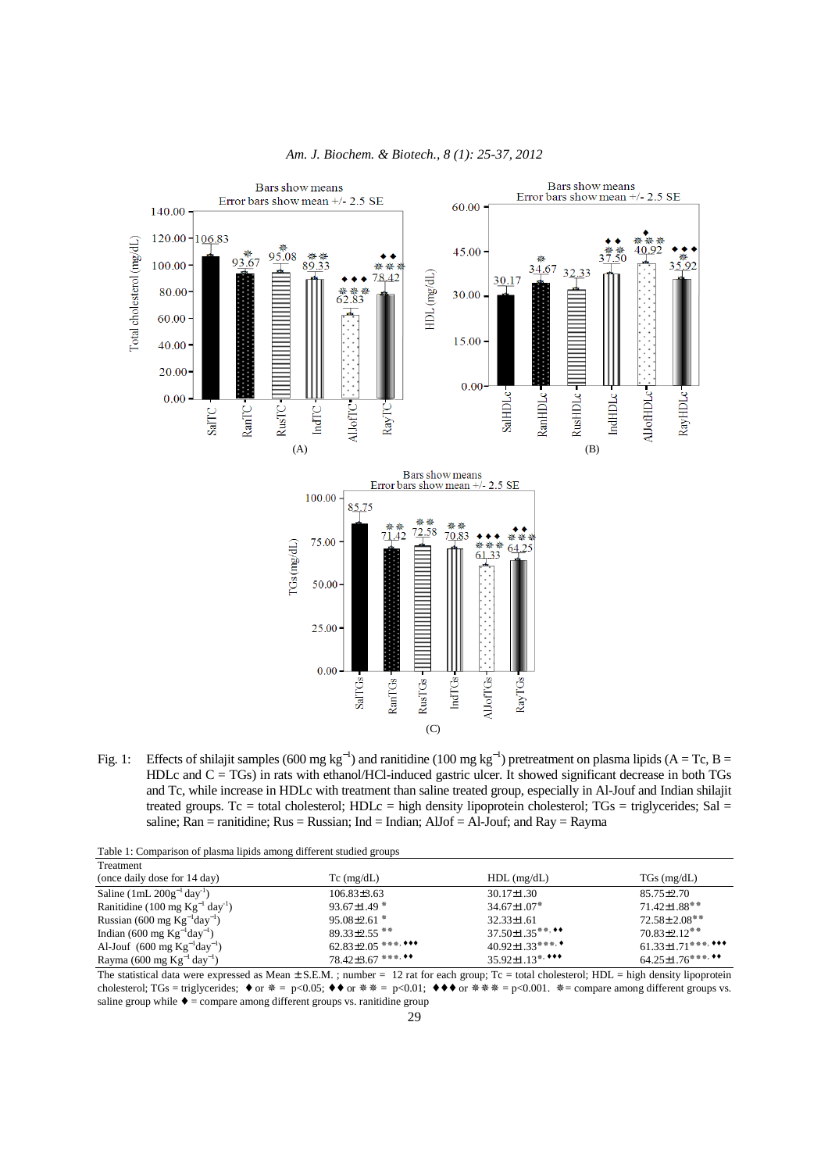

Fig. 1: Effects of shilajit samples (600 mg kg<sup>-1</sup>) and ranitidine (100 mg kg<sup>-1</sup>) pretreatment on plasma lipids (A = Tc, B = HDLc and C = TGs) in rats with ethanol/HCl-induced gastric ulcer. It showed significant decrease in both TGs and Tc, while increase in HDLc with treatment than saline treated group, especially in Al-Jouf and Indian shilajit treated groups. Tc = total cholesterol;  $HDLc = high$  density lipoprotein cholesterol; TGs = triglycerides; Sal = saline; Ran = ranitidine; Rus = Russian; Ind = Indian; AlJof = Al-Jouf; and Ray = Rayma

Table 1: Comparison of plasma lipids among different studied groups

| Treatment                                            |                        |                                |                          |
|------------------------------------------------------|------------------------|--------------------------------|--------------------------|
| (once daily dose for 14 day)                         | $Tc$ (mg/dL)           | $HDL$ (mg/dL)                  | $TGs$ (mg/dL)            |
| Saline $(1mL 200g^{-1}day^{-1})$                     | $106.83\pm3.63$        | $30.17 \pm 1.30$               | $85.75 \pm 2.70$         |
| Ranitidine (100 mg $Kg^{-1}$ day <sup>-1</sup> )     | $93.67 \pm 1.49$ *     | $34.67 \pm 1.07$ *             | $71.42 \pm 1.88$ **      |
| Russian (600 mg $\text{Kg}^{-1}$ day <sup>-1</sup> ) | $95.08\pm2.61$ *       | $32.33 \pm 1.61$               | $72.58 \pm 2.08$ **      |
| Indian (600 mg $Kg^{-1}day^{-1}$ )                   | $89.33\pm2.55$ **      | $37.50 \pm 1.35$ ***           | $70.83 \pm 2.12$ **      |
| Al-Jouf $(600 \text{ mg Kg}^{-1} \text{day}^{-1})$   | $62.83\pm2.05$ ***.*** | $40.92 \pm 1.33$ ***.          | $61.33 \pm 1.71$ ***.*** |
| Rayma (600 mg $Kg^{-1}$ day <sup>-1</sup> )          | $78.42 \pm 3.67$ ***   | $35.92 \pm 1.13$ <sup>**</sup> | $64.25 \pm 1.76$ ***.**  |

The statistical data were expressed as Mean  $\pm$  S.E.M.; number = 12 rat for each group; Tc = total cholesterol; HDL = high density lipoprotein cholesterol; TGs = triglycerides;  $\bullet$  or  $\ast = p \lt 0.05$ ;  $\bullet \bullet$  or  $\ast \ast = p \lt 0.01$ ;  $\bullet \bullet \bullet$  or  $\ast \ast \ast = p \lt 0.001$ .  $\ast =$  compare among different groups vs. saline group while  $\bullet =$  compare among different groups vs. ranitidine group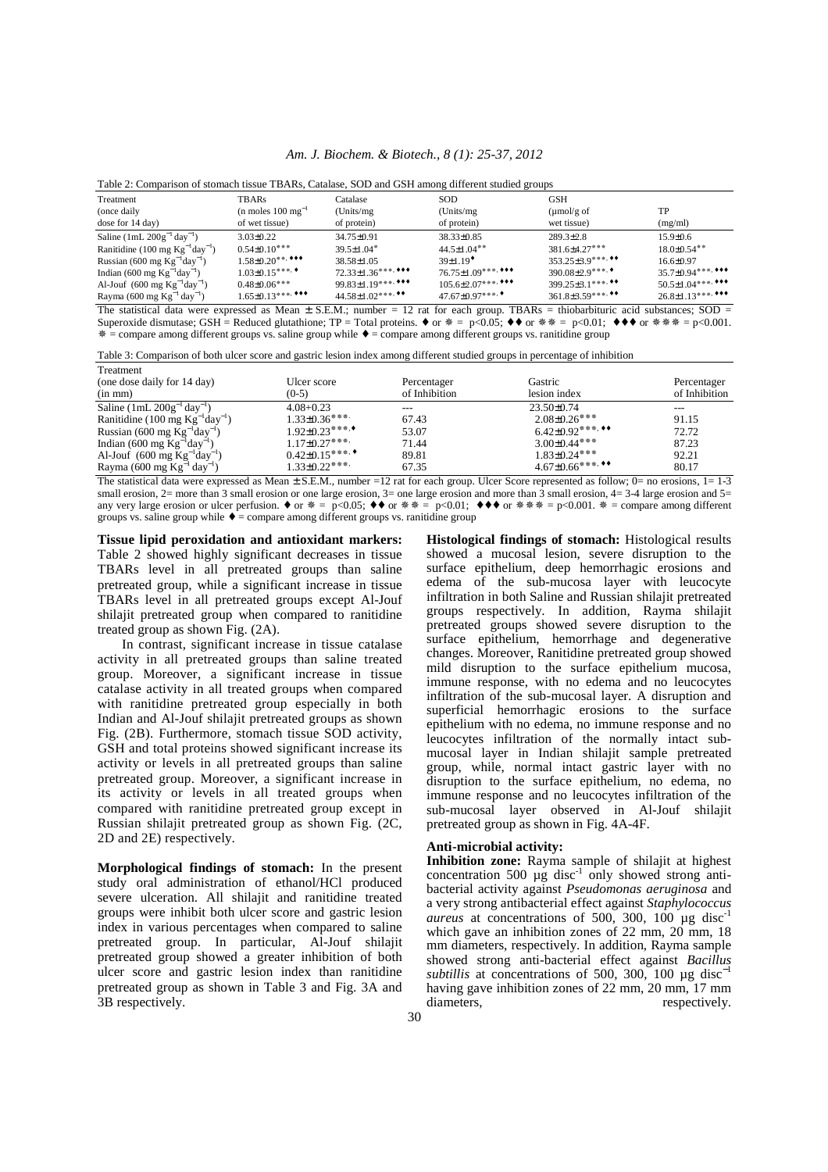| Table 2. Combarison of stomach ussue TDARS, Catalase, GOD and GSTI among unferent studied groups |                                |               |             |                         |     |  |  |  |  |  |
|--------------------------------------------------------------------------------------------------|--------------------------------|---------------|-------------|-------------------------|-----|--|--|--|--|--|
| Treatment                                                                                        | TBARs                          | `atalase      | SOD         | GSH                     |     |  |  |  |  |  |
| (once daily)                                                                                     | (n moles $100 \text{ mg}^{-1}$ | Units/mg      | (Units/mg   | $(\mu \text{mol/g of})$ | TP  |  |  |  |  |  |
| $\frac{1}{2}$ does for 14 days                                                                   | of wet ticena)                 | $of$ protain) | of protain) | $\text{that}$ ficence   | (me |  |  |  |  |  |

Table 2: Comparison of stomach tissue TBARs, Catalase, SOD and GSH among different studied groups

| (once daily)                                        | $(n$ moles $100$ mg      | (Units/mg                 | (Units/mg)             | $(\mu \text{mol/g} \text{ot})$ |                          |
|-----------------------------------------------------|--------------------------|---------------------------|------------------------|--------------------------------|--------------------------|
| dose for 14 day)                                    | of wet tissue)           | of protein)               | of protein)            | wet tissue)                    | (mg/ml)                  |
| Saline $(1mL 200g^{-1}day^{-1})$                    | $3.03 \pm 0.22$          | 34.75+0.91                | $38.33 \pm 0.85$       | $289.3 \pm 2.8$                | $15.9 + 0.6$             |
| Ranitidine (100 mg $Kg^{-1}day^{-1}$ )              | $0.54+0.10***$           | $39.5 + 1.04*$            | $44.5 + 1.04$ **       | $381.6 \pm 4.27$ ***           | $18.0 + 0.54$ **         |
| Russian (600 mg $Kg^{-1}day^{-1}$ )                 | $1.58 \pm 0.20$ **. ***  | $38.58 + 1.05$            | $39+1.19$ <sup>*</sup> | $353.25 \pm 3.9$ ***. **       | $16.6 + 0.97$            |
| Indian (600 mg $\text{Kg}^{-1}$ day <sup>-1</sup> ) | $1.03+0.15***$           |                           | $76.75 \pm 1.09$ ****  | $390.08 \pm 2.9$ ****          | $35.7 \pm 0.94$ ***      |
| Al-Jouf $(600 \text{ mg Kg}^{-1} \text{day}^{-1})$  | $0.48 + 0.06***$         | $99.83 \pm 1.19$ ***. *** | $105.6 + 2.07$ ****    | $399.25 \pm 3.1$ ****          | $50.5 \pm 1.04$ ***      |
| Rayma (600 mg $Kg^{-1}day^{-1}$ )                   | $1.65 \pm 0.13$ ***. *** | $44.58+1.02***$           | $47.67+0.97***$        | $361.8 + 3.59$ ***.**          | $26.8 \pm 1.13$ ***. *** |
|                                                     |                          |                           |                        |                                |                          |

The statistical data were expressed as Mean  $\pm$  S.E.M.; number = 12 rat for each group. TBARs = thiobarbituric acid substances; SOD = Superoxide dismutase; GSH = Reduced glutathione; TP = Total proteins.  $\bullet$  or  $\ast = p<0.05$ ;  $\bullet \bullet$  or  $\ast \ast = p<0.01$ ;  $\bullet \bullet \bullet$  or  $\ast \ast \ast = p<0.001$ .  $*$  = compare among different groups vs. saline group while  $*$  = compare among different groups vs. ranitidine group

Table 3: Comparison of both ulcer score and gastric lesion index among different studied groups in percentage of inhibition

| Treatment                                            |                      |               |                      |               |
|------------------------------------------------------|----------------------|---------------|----------------------|---------------|
| (one dose daily for 14 day)                          | Ulcer score          | Percentager   | Gastric              | Percentager   |
| $(in \, mm)$                                         | $(0-5)$              | of Inhibition | lesion index         | of Inhibition |
| Saline $(1mL 200g^{-1}day^{-1})$                     | $4.08 + 0.23$        | $---$         | $23.50 \pm 0.74$     | $---$         |
| Ranitidine (100 mg $Kg^{-1}day^{-1}$ )               | $1.33\pm0.36$ ***    | 67.43         | $2.08 \pm 0.26$ ***  | 91.15         |
| Russian (600 mg $\text{Kg}^{-1}$ day <sup>-1</sup> ) | $1.92 \pm 0.23$ **** | 53.07         | $6.42 \pm 0.92$ ***  | 72.72         |
| Indian (600 mg $\text{Kg}^{-1}$ day <sup>-1</sup> )  | $1.17\pm0.27***$     | 71.44         | $3.00 \pm 0.44$ ***  | 87.23         |
| Al-Jouf $(600 \text{ mg Kg}^{-1} \text{day}^{-1})$   | $0.42 \pm 0.15$ ***  | 89.81         | $1.83 \pm 0.24$ ***  | 92.21         |
| Rayma (600 mg $\text{Kg}^{-1} \text{day}^{-1}$ )     | $1.33\pm0.22$ ***    | 67.35         | $4.67 \pm 0.66$ **** | 80.17         |

The statistical data were expressed as Mean  $\pm$  S.E.M., number =12 rat for each group. Ulcer Score represented as follow; 0= no erosions, 1= 1-3 small erosion,  $2=$  more than 3 small erosion or one large erosion,  $3=$  one large erosion and more than 3 small erosion,  $4=3-4$  large erosion and  $5=$ any very large erosion or ulcer perfusion.  $\bullet$  or  $\ast = p \lt 0.05$ ;  $\bullet \bullet$  or  $\ast \ast = p \lt 0.01$ ;  $\bullet \bullet \bullet$  or  $\ast \ast \ast = p \lt 0.001$ .  $\ast =$  compare among different groups vs. saline group while  $\bullet =$  compare among different groups vs. ranitidine group

**Tissue lipid peroxidation and antioxidant markers:**  Table 2 showed highly significant decreases in tissue TBARs level in all pretreated groups than saline pretreated group, while a significant increase in tissue TBARs level in all pretreated groups except Al-Jouf shilajit pretreated group when compared to ranitidine treated group as shown Fig. (2A).

 In contrast, significant increase in tissue catalase activity in all pretreated groups than saline treated group. Moreover, a significant increase in tissue catalase activity in all treated groups when compared with ranitidine pretreated group especially in both Indian and Al-Jouf shilajit pretreated groups as shown Fig. (2B). Furthermore, stomach tissue SOD activity, GSH and total proteins showed significant increase its activity or levels in all pretreated groups than saline pretreated group. Moreover, a significant increase in its activity or levels in all treated groups when compared with ranitidine pretreated group except in Russian shilajit pretreated group as shown Fig. (2C, 2D and 2E) respectively.

**Morphological findings of stomach:** In the present study oral administration of ethanol/HCl produced severe ulceration. All shilajit and ranitidine treated groups were inhibit both ulcer score and gastric lesion index in various percentages when compared to saline pretreated group. In particular, Al-Jouf shilajit pretreated group showed a greater inhibition of both ulcer score and gastric lesion index than ranitidine pretreated group as shown in Table 3 and Fig. 3A and 3B respectively.

**Histological findings of stomach:** Histological results showed a mucosal lesion, severe disruption to the surface epithelium, deep hemorrhagic erosions and edema of the sub-mucosa layer with leucocyte infiltration in both Saline and Russian shilajit pretreated groups respectively. In addition, Rayma shilajit pretreated groups showed severe disruption to the surface epithelium, hemorrhage and degenerative changes. Moreover, Ranitidine pretreated group showed mild disruption to the surface epithelium mucosa, immune response, with no edema and no leucocytes infiltration of the sub-mucosal layer. A disruption and superficial hemorrhagic erosions to the surface epithelium with no edema, no immune response and no leucocytes infiltration of the normally intact submucosal layer in Indian shilajit sample pretreated group, while, normal intact gastric layer with no disruption to the surface epithelium, no edema, no immune response and no leucocytes infiltration of the sub-mucosal layer observed in Al-Jouf shilajit pretreated group as shown in Fig. 4A-4F.

### **Anti-microbial activity:**

**Inhibition zone:** Rayma sample of shilajit at highest concentration 500  $\mu$ g disc<sup>-1</sup> only showed strong antibacterial activity against *Pseudomonas aeruginosa* and a very strong antibacterial effect against *Staphylococcus aureus* at concentrations of 500, 300, 100  $\mu$ g disc<sup>-1</sup> which gave an inhibition zones of 22 mm, 20 mm, 18 mm diameters, respectively. In addition, Rayma sample showed strong anti-bacterial effect against *Bacillus subtillis* at concentrations of 500, 300, 100 μg disc<sup>-1</sup> having gave inhibition zones of 22 mm, 20 mm, 17 mm diameters. The respectively.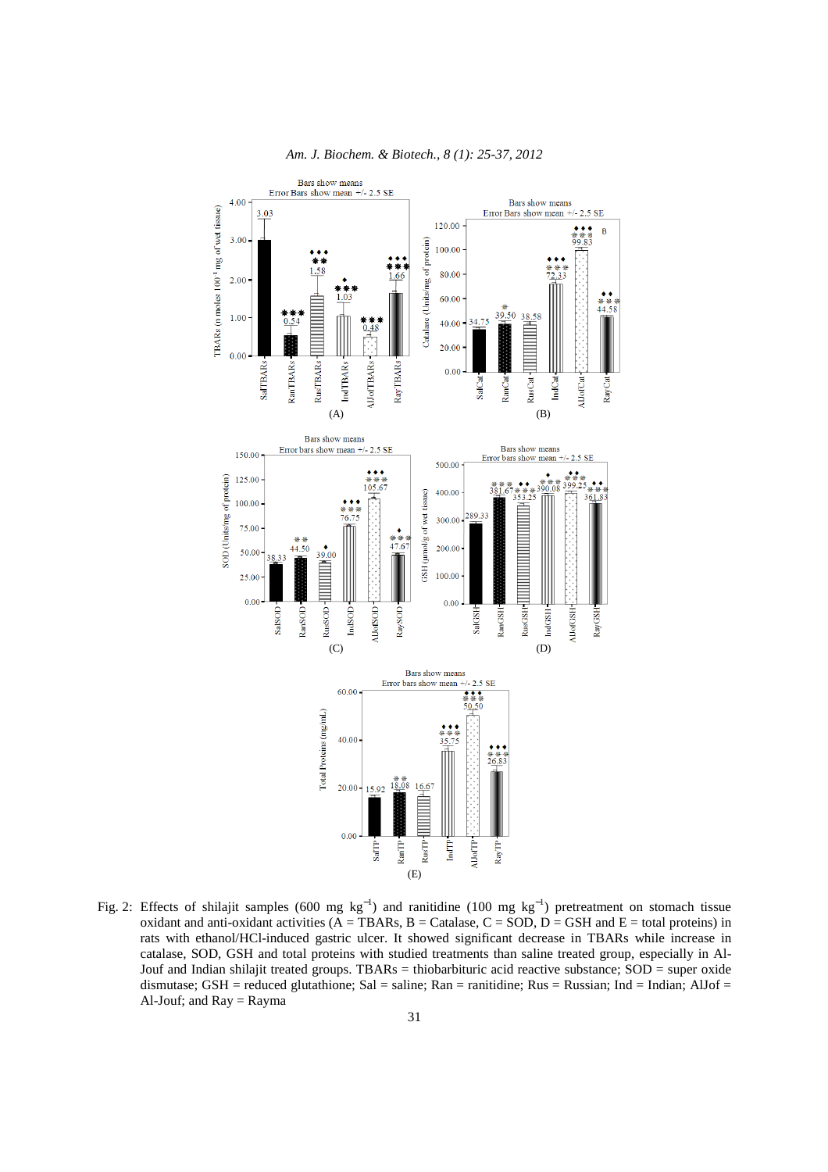

Fig. 2: Effects of shilajit samples (600 mg kg<sup>-1</sup>) and ranitidine (100 mg kg<sup>-1</sup>) pretreatment on stomach tissue oxidant and anti-oxidant activities ( $A = TBARs$ ,  $B =$  Catalase,  $C =$  SOD,  $D =$  GSH and  $E =$  total proteins) in rats with ethanol/HCl-induced gastric ulcer. It showed significant decrease in TBARs while increase in catalase, SOD, GSH and total proteins with studied treatments than saline treated group, especially in Al-Jouf and Indian shilajit treated groups. TBARs = thiobarbituric acid reactive substance; SOD = super oxide dismutase; GSH = reduced glutathione; Sal = saline; Ran = ranitidine; Rus = Russian; Ind = Indian; AlJof = Al-Jouf; and  $Ray = Rayma$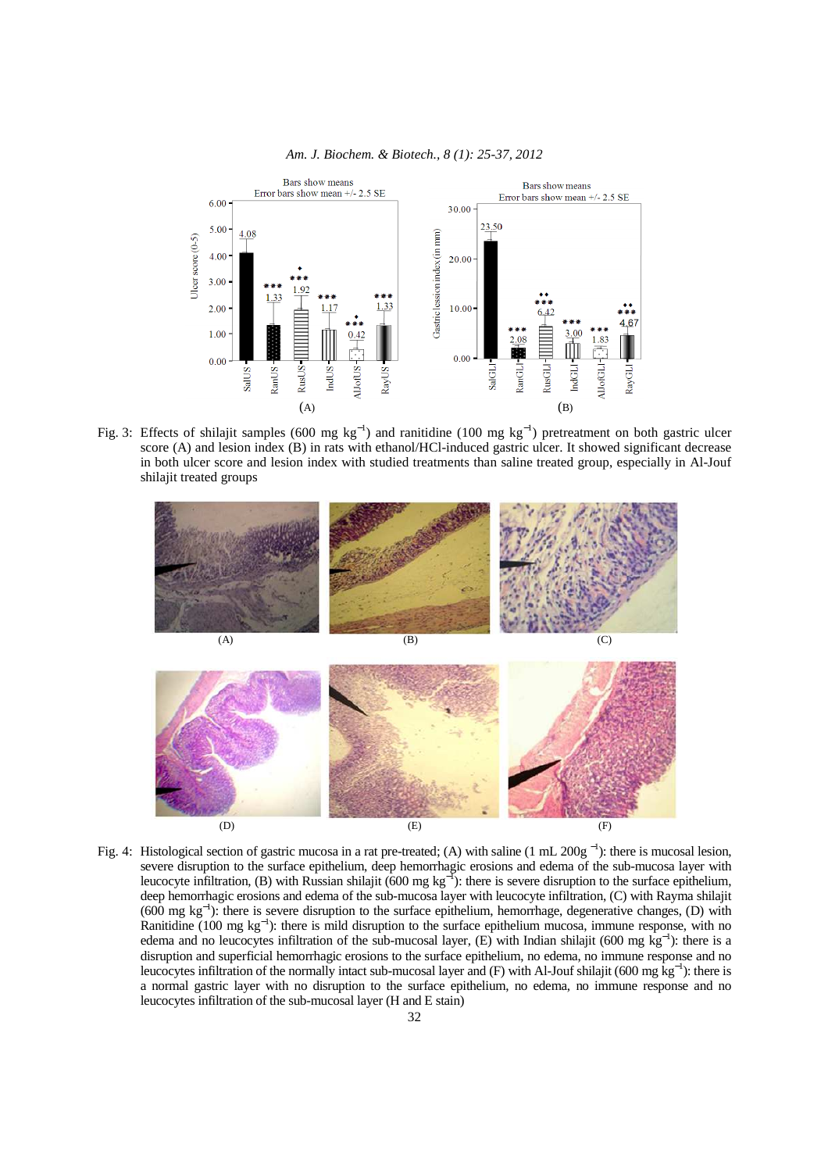

Fig. 3: Effects of shilajit samples (600 mg kg<sup>-1</sup>) and ranitidine (100 mg kg<sup>-1</sup>) pretreatment on both gastric ulcer score (A) and lesion index (B) in rats with ethanol/HCl-induced gastric ulcer. It showed significant decrease in both ulcer score and lesion index with studied treatments than saline treated group, especially in Al-Jouf shilajit treated groups





Fig. 4: Histological section of gastric mucosa in a rat pre-treated; (A) with saline (1 mL 200g<sup>-1</sup>): there is mucosal lesion, severe disruption to the surface epithelium, deep hemorrhagic erosions and edema of the sub-mucosa layer with leucocyte infiltration, (B) with Russian shilajit (600 mg kg<sup>-T</sup>): there is severe disruption to the surface epithelium, deep hemorrhagic erosions and edema of the sub-mucosa layer with leucocyte infiltration, (C) with Rayma shilajit (600 mg kg<sup>−</sup><sup>1</sup> ): there is severe disruption to the surface epithelium, hemorrhage, degenerative changes, (D) with Ranitidine (100 mg kg<sup>-1</sup>): there is mild disruption to the surface epithelium mucosa, immune response, with no edema and no leucocytes infiltration of the sub-mucosal layer,  $(E)$  with Indian shilajit (600 mg kg<sup>-1</sup>): there is a disruption and superficial hemorrhagic erosions to the surface epithelium, no edema, no immune response and no leucocytes infiltration of the normally intact sub-mucosal layer and (F) with Al-Jouf shilajit (600 mg kg<sup>−</sup><sup>1</sup> ): there is a normal gastric layer with no disruption to the surface epithelium, no edema, no immune response and no leucocytes infiltration of the sub-mucosal layer (H and E stain)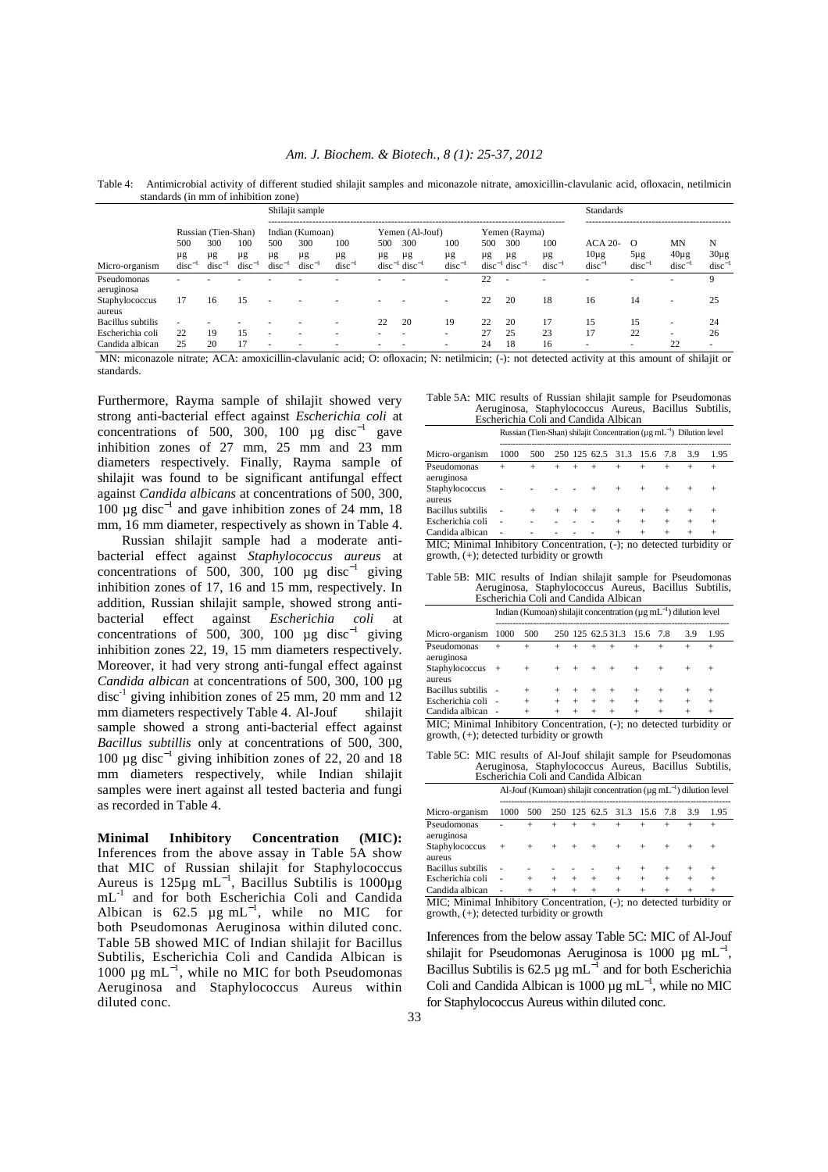*Am. J. Biochem. & Biotech., 8 (1): 25-37, 2012* 

Table 4: Antimicrobial activity of different studied shilajit samples and miconazole nitrate, amoxicillin-clavulanic acid, ofloxacin, netilmicin standards (in mm of inhibition zone)

|                           |                          |                          | Shilajit sample          |                          |                          |                          |           |                                             |                          |                          |                          | Standards                |                                       |                                |                                      |                            |
|---------------------------|--------------------------|--------------------------|--------------------------|--------------------------|--------------------------|--------------------------|-----------|---------------------------------------------|--------------------------|--------------------------|--------------------------|--------------------------|---------------------------------------|--------------------------------|--------------------------------------|----------------------------|
|                           |                          | Russian (Tien-Shan)      |                          | Indian (Kumoan)          |                          | Yemen (Al-Jouf)          |           |                                             | Yemen (Rayma)            |                          |                          |                          |                                       |                                |                                      |                            |
| Micro-organism            | 500<br>μg<br>$disc^{-1}$ | 300<br>μg<br>$disc^{-1}$ | 100<br>μg<br>$disc^{-1}$ | 500<br>μg<br>$disc^{-1}$ | 300<br>μg<br>$disc^{-1}$ | 100<br>μg<br>$disc^{-1}$ | 500<br>μg | 300<br>μg<br>$disc^{-1}$ disc <sup>-1</sup> | 100<br>μg<br>$disc^{-1}$ | 500<br>μg<br>$disc^{-1}$ | 300<br>μg<br>$disc^{-1}$ | 100<br>μg<br>$disc^{-1}$ | $ACA 20-$<br>$10\mu$ g<br>$disc^{-1}$ | $\Omega$<br>5µg<br>$disc^{-1}$ | MN<br>$40\mu g$<br>disc <sup>-</sup> | N<br>$30\mu g$<br>$disc-1$ |
| Pseudomonas<br>aeruginosa |                          |                          |                          |                          |                          |                          |           |                                             |                          | 22                       |                          |                          |                                       |                                |                                      | Q                          |
| Staphylococcus<br>aureus  | 17                       | 16                       | 15                       |                          |                          |                          |           |                                             |                          | 22                       | 20                       | 18                       | 16                                    | 14                             | $\overline{\phantom{a}}$             | 25                         |
| Bacillus subtilis         |                          |                          |                          |                          |                          |                          | 22        | 20                                          | 19                       | 22                       | 20                       | 17                       | 15                                    | 15                             | $\overline{\phantom{a}}$             | 24                         |
| Escherichia coli          | 22                       | 19                       | 15                       | $\overline{\phantom{a}}$ |                          |                          |           |                                             | $\overline{\phantom{a}}$ | 27                       | 25                       | 23                       | 17                                    | 22                             | $\overline{\phantom{a}}$             | 26                         |
| Candida albican           | 25                       | 20                       | 17                       | $\overline{\phantom{a}}$ | $\overline{\phantom{a}}$ | ۰                        |           |                                             | $\overline{\phantom{a}}$ | 24                       | 18                       | 16                       |                                       |                                | 22                                   | ۰                          |

MN: miconazole nitrate; ACA: amoxicillin-clavulanic acid; O: ofloxacin; N: netilmicin; (-): not detected activity at this amount of shilajit or standards.

Furthermore, Rayma sample of shilajit showed very strong anti-bacterial effect against *Escherichia coli* at concentrations of 500, 300, 100  $\mu$ g disc<sup>-1</sup> gave inhibition zones of 27 mm, 25 mm and 23 mm diameters respectively. Finally, Rayma sample of shilajit was found to be significant antifungal effect against *Candida albicans* at concentrations of 500, 300, 100 µg disc<sup>−</sup><sup>1</sup> and gave inhibition zones of 24 mm, 18 mm, 16 mm diameter, respectively as shown in Table 4.

 Russian shilajit sample had a moderate antibacterial effect against *Staphylococcus aureus* at concentrations of 500, 300, 100  $\mu$ g disc<sup>-1</sup> giving inhibition zones of 17, 16 and 15 mm, respectively. In addition, Russian shilajit sample, showed strong antibacterial effect against *Escherichia coli* at concentrations of 500, 300, 100  $\mu$ g disc<sup>-1</sup> giving inhibition zones 22, 19, 15 mm diameters respectively. Moreover, it had very strong anti-fungal effect against *Candida albican* at concentrations of 500, 300, 100 µg disc<sup>-1</sup> giving inhibition zones of 25 mm, 20 mm and 12 mm diameters respectively Table 4. Al-Jouf shilajit sample showed a strong anti-bacterial effect against *Bacillus subtillis* only at concentrations of 500, 300, 100 µg disc<sup>−</sup><sup>1</sup> giving inhibition zones of 22, 20 and 18 mm diameters respectively, while Indian shilajit samples were inert against all tested bacteria and fungi as recorded in Table 4.

**Minimal Inhibitory Concentration (MIC):**  Inferences from the above assay in Table 5A show that MIC of Russian shilajit for Staphylococcus Aureus is  $125\mu g$  mL<sup>-1</sup>, Bacillus Subtilis is  $1000\mu g$ mL-1 and for both Escherichia Coli and Candida Albican is 62.5  $\mu$ g mL<sup>-1</sup>, while no MIC for both Pseudomonas Aeruginosa within diluted conc. Table 5B showed MIC of Indian shilajit for Bacillus Subtilis, Escherichia Coli and Candida Albican is 1000 μg  $mL^{-1}$ , while no MIC for both Pseudomonas Aeruginosa and Staphylococcus Aureus within diluted conc.

| Table 5A: MIC results of Russian shilajit sample for Pseudomonas |  |  |  |
|------------------------------------------------------------------|--|--|--|
| Aeruginosa, Staphylococcus Aureus, Bacillus Subtilis,            |  |  |  |
| Escherichia Coli and Candida Albican                             |  |  |  |

| тэмненента сэлт анм санмиа жилсан |        |                                                                                        |  |     |        |           |                            |        |        |        |  |
|-----------------------------------|--------|----------------------------------------------------------------------------------------|--|-----|--------|-----------|----------------------------|--------|--------|--------|--|
|                                   |        | Russian (Tien-Shan) shilajit Concentration ( $\mu$ g mL <sup>-1</sup> ) Dilution level |  |     |        |           |                            |        |        |        |  |
| Micro-organism                    | 1000   | 500                                                                                    |  |     |        |           | 250 125 62.5 31.3 15.6 7.8 |        | 3.9    | 1.95   |  |
| Pseudomonas<br>aeruginosa         | $^{+}$ | $^{+}$                                                                                 |  | $+$ | $+$    | $^{+}$    | $^{+}$                     | $+$    | $^{+}$ | $^{+}$ |  |
| Staphylococcus<br>aureus          | ٠      |                                                                                        |  |     |        | $+$       |                            |        |        |        |  |
| Bacillus subtilis                 |        |                                                                                        |  |     | $^{+}$ |           |                            | $^{+}$ |        |        |  |
| Escherichia coli                  | ٠      |                                                                                        |  |     |        | $\ddot{}$ | $\overline{+}$             | $^{+}$ | $^{+}$ | $+$    |  |
| Candida albican                   | ۰      |                                                                                        |  |     |        |           |                            |        |        |        |  |

MIC; Minimal Inhibitory Concentration, (-); no detected turbidity or growth, (+); detected turbidity or growth

Table 5B: MIC results of Indian shilajit sample for Pseudomonas Aeruginosa, Staphylococcus Aureus, Bacillus Subtilis,

| Escherichia Coli and Candida Albican |     |                                                                                    |  |  |     |     |                            |       |        |      |  |  |
|--------------------------------------|-----|------------------------------------------------------------------------------------|--|--|-----|-----|----------------------------|-------|--------|------|--|--|
|                                      |     | Indian (Kumoan) shilajit concentration ( $\mu$ g mL <sup>-1</sup> ) dilution level |  |  |     |     |                            |       |        |      |  |  |
| Micro-organism 1000                  |     | 500                                                                                |  |  |     |     | 250 125 62.5 31.3 15.6 7.8 |       | 3.9    | 1.95 |  |  |
| Pseudomonas<br>aeruginosa            | $+$ | $\ddot{}$                                                                          |  |  |     |     | $+$                        | $\pm$ | $\pm$  |      |  |  |
| Staphylococcus +<br>aureus           |     | $+$                                                                                |  |  |     | $+$ | $+$                        |       |        |      |  |  |
| Bacillus subtilis                    |     |                                                                                    |  |  |     |     |                            |       |        |      |  |  |
| Escherichia coli                     |     | $\overline{+}$                                                                     |  |  | $+$ | $+$ | $+$                        |       | $^{+}$ |      |  |  |
| Candida albican                      |     |                                                                                    |  |  |     |     |                            |       |        |      |  |  |

MIC; Minimal Inhibitory Concentration, (-); no detected turbidity or growth, (+); detected turbidity or growth

Table 5C: MIC results of Al-Jouf shilajit sample for Pseudomonas Aeruginosa, Staphylococcus Aureus, Bacillus Subtilis, Escherichia Coli and Candida Albican

|                                   | Al-Jouf (Kumoan) shilajit concentration ( $\mu$ g mL <sup>-1</sup> ) dilution level |        |     |     |               |           |                |     |        |      |  |  |
|-----------------------------------|-------------------------------------------------------------------------------------|--------|-----|-----|---------------|-----------|----------------|-----|--------|------|--|--|
| Micro-organism                    | 1000                                                                                | 500    | 250 |     | 125 62.5 31.3 |           | -15.6          | 7.8 | 3.9    | 1.95 |  |  |
| Pseudomonas                       |                                                                                     |        |     |     |               | $\ddot{}$ |                |     | $^{+}$ | $^+$ |  |  |
| aeruginosa                        |                                                                                     |        |     |     |               |           |                |     |        |      |  |  |
| Staphylococcus<br>aureus          | $+$                                                                                 | $^{+}$ |     | $+$ | $^{+}$        | $\pm$     |                |     |        |      |  |  |
| <b>Bacillus</b> subtilis          |                                                                                     |        |     |     |               |           |                |     |        |      |  |  |
| Escherichia coli                  |                                                                                     |        |     |     |               | $\ddot{}$ | $\overline{+}$ |     |        |      |  |  |
| Candida albican<br>- -- - - - - - | - - - - -                                                                           |        |     |     |               |           |                |     | - - -- |      |  |  |

MIC; Minimal Inhibitory Concentration, (-); no detected turbidity or growth, (+); detected turbidity or growth

Inferences from the below assay Table 5C: MIC of Al-Jouf shilajit for Pseudomonas Aeruginosa is 1000 µg m $L^{-1}$ , Bacillus Subtilis is 62.5 µg mL<sup>-1</sup> and for both Escherichia Coli and Candida Albican is 1000  $\mu$ g mL<sup>-1</sup>, while no MIC for Staphylococcus Aureus within diluted conc.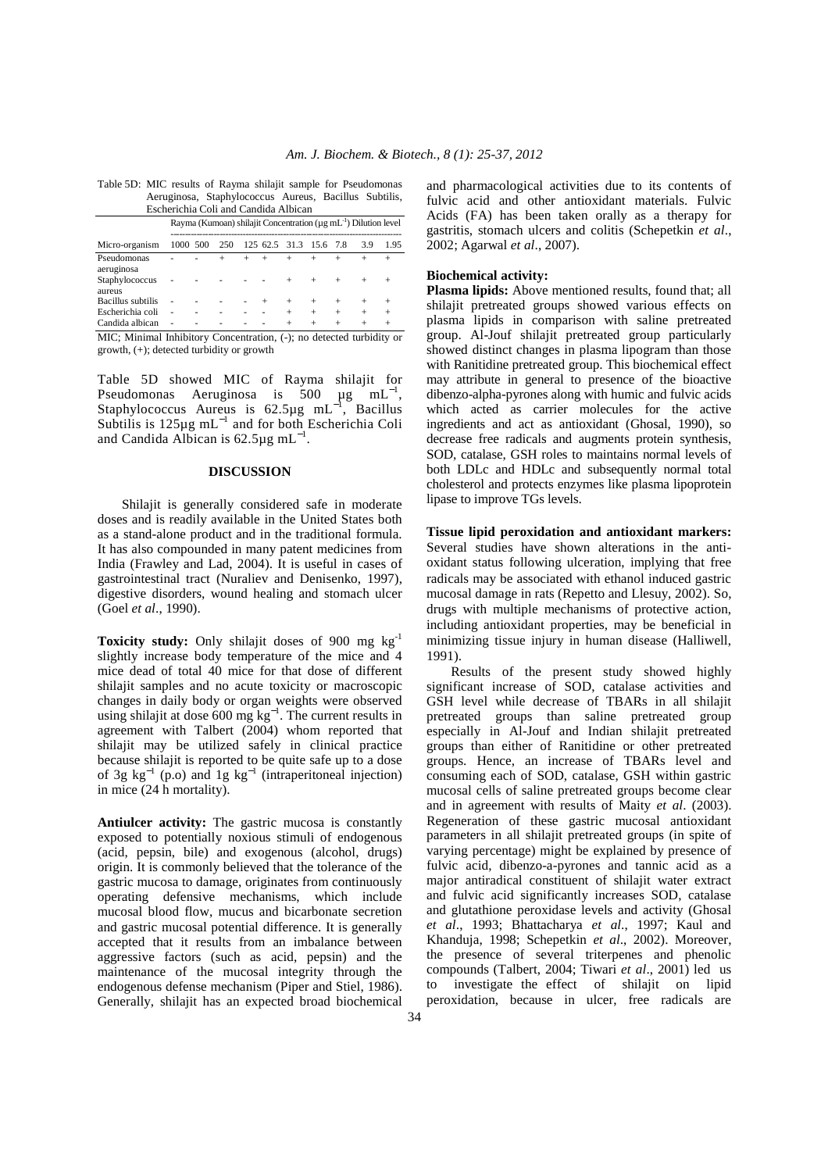Table 5D: MIC results of Rayma shilajit sample for Pseudomonas Aeruginosa, Staphylococcus Aureus, Bacillus Subtilis,

|                                                                      | Escherichia Coli and Candida Albican |                                                                             |        |     |     |                        |     |        |     |      |  |  |
|----------------------------------------------------------------------|--------------------------------------|-----------------------------------------------------------------------------|--------|-----|-----|------------------------|-----|--------|-----|------|--|--|
|                                                                      |                                      | Rayma (Kumoan) shilajit Concentration (ug mL <sup>-1</sup> ) Dilution level |        |     |     |                        |     |        |     |      |  |  |
| Micro-organism                                                       | 1000 500                             |                                                                             | 250    |     |     | 125 62.5 31.3 15.6 7.8 |     |        | 3.9 | 1.95 |  |  |
| Pseudomonas<br>aeruginosa                                            |                                      |                                                                             | $^{+}$ | $+$ | $+$ | $+$                    | $+$ | $^{+}$ |     | $+$  |  |  |
| Staphylococcus<br>aureus                                             |                                      |                                                                             |        |     |     |                        |     | $+$    |     |      |  |  |
| Bacillus subtilis                                                    |                                      |                                                                             |        |     |     |                        |     |        |     |      |  |  |
| Escherichia coli                                                     |                                      |                                                                             |        |     |     |                        |     |        |     |      |  |  |
| Candida albican                                                      |                                      |                                                                             |        |     |     |                        |     |        |     |      |  |  |
| MIC; Minimal Inhibitory Concentration, (-); no detected turbidity or |                                      |                                                                             |        |     |     |                        |     |        |     |      |  |  |

growth, (+); detected turbidity or growth

Table 5D showed MIC of Rayma shilajit for Pseudomonas Aeruginosa is 500  $\mu$ g mL<sup>-1</sup>, Staphylococcus Aureus is  $62.5\mu\text{g} \text{ mL}^{-1}$ , Bacillus Subtilis is  $125\mu g$  mL<sup>-1</sup> and for both Escherichia Coli and Candida Albican is  $62.5\mu g$  mL<sup>-1</sup>.

### **DISCUSSION**

 Shilajit is generally considered safe in moderate doses and is readily available in the United States both as a stand-alone product and in the traditional formula. It has also compounded in many patent medicines from India (Frawley and Lad, 2004). It is useful in cases of gastrointestinal tract (Nuraliev and Denisenko, 1997), digestive disorders, wound healing and stomach ulcer (Goel *et al*., 1990).

**Toxicity study:** Only shilajit doses of 900 mg kg<sup>-1</sup> slightly increase body temperature of the mice and 4 mice dead of total 40 mice for that dose of different shilajit samples and no acute toxicity or macroscopic changes in daily body or organ weights were observed using shilajit at dose  $600 \text{ mg kg}^{-1}$ . The current results in agreement with Talbert (2004) whom reported that shilajit may be utilized safely in clinical practice because shilajit is reported to be quite safe up to a dose of 3g  $kg^{-1}$  (p.o) and 1g  $kg^{-1}$  (intraperitoneal injection) in mice (24 h mortality).

**Antiulcer activity:** The gastric mucosa is constantly exposed to potentially noxious stimuli of endogenous (acid, pepsin, bile) and exogenous (alcohol, drugs) origin. It is commonly believed that the tolerance of the gastric mucosa to damage, originates from continuously operating defensive mechanisms, which include mucosal blood flow, mucus and bicarbonate secretion and gastric mucosal potential difference. It is generally accepted that it results from an imbalance between aggressive factors (such as acid, pepsin) and the maintenance of the mucosal integrity through the endogenous defense mechanism (Piper and Stiel, 1986). Generally, shilajit has an expected broad biochemical

and pharmacological activities due to its contents of fulvic acid and other antioxidant materials. Fulvic Acids (FA) has been taken orally as a therapy for gastritis, stomach ulcers and colitis (Schepetkin *et al*., 2002; Agarwal *et al*., 2007).

#### **Biochemical activity:**

**Plasma lipids:** Above mentioned results, found that; all shilajit pretreated groups showed various effects on plasma lipids in comparison with saline pretreated group. Al-Jouf shilajit pretreated group particularly showed distinct changes in plasma lipogram than those with Ranitidine pretreated group. This biochemical effect may attribute in general to presence of the bioactive dibenzo-alpha-pyrones along with humic and fulvic acids which acted as carrier molecules for the active ingredients and act as antioxidant (Ghosal, 1990), so decrease free radicals and augments protein synthesis, SOD, catalase, GSH roles to maintains normal levels of both LDLc and HDLc and subsequently normal total cholesterol and protects enzymes like plasma lipoprotein lipase to improve TGs levels.

**Tissue lipid peroxidation and antioxidant markers:**  Several studies have shown alterations in the antioxidant status following ulceration, implying that free radicals may be associated with ethanol induced gastric mucosal damage in rats (Repetto and Llesuy, 2002). So, drugs with multiple mechanisms of protective action, including antioxidant properties, may be beneficial in minimizing tissue injury in human disease (Halliwell, 1991).

 Results of the present study showed highly significant increase of SOD, catalase activities and GSH level while decrease of TBARs in all shilajit pretreated groups than saline pretreated group especially in Al-Jouf and Indian shilajit pretreated groups than either of Ranitidine or other pretreated groups. Hence, an increase of TBARs level and consuming each of SOD, catalase, GSH within gastric mucosal cells of saline pretreated groups become clear and in agreement with results of Maity *et al*. (2003). Regeneration of these gastric mucosal antioxidant parameters in all shilajit pretreated groups (in spite of varying percentage) might be explained by presence of fulvic acid, dibenzo-a-pyrones and tannic acid as a major antiradical constituent of shilajit water extract and fulvic acid significantly increases SOD, catalase and glutathione peroxidase levels and activity (Ghosal *et al*., 1993; Bhattacharya *et al*., 1997; Kaul and Khanduja, 1998; Schepetkin *et al*., 2002). Moreover, the presence of several triterpenes and phenolic compounds (Talbert, 2004; Tiwari *et al*., 2001) led us to investigate the effect of shilajit on lipid peroxidation, because in ulcer, free radicals are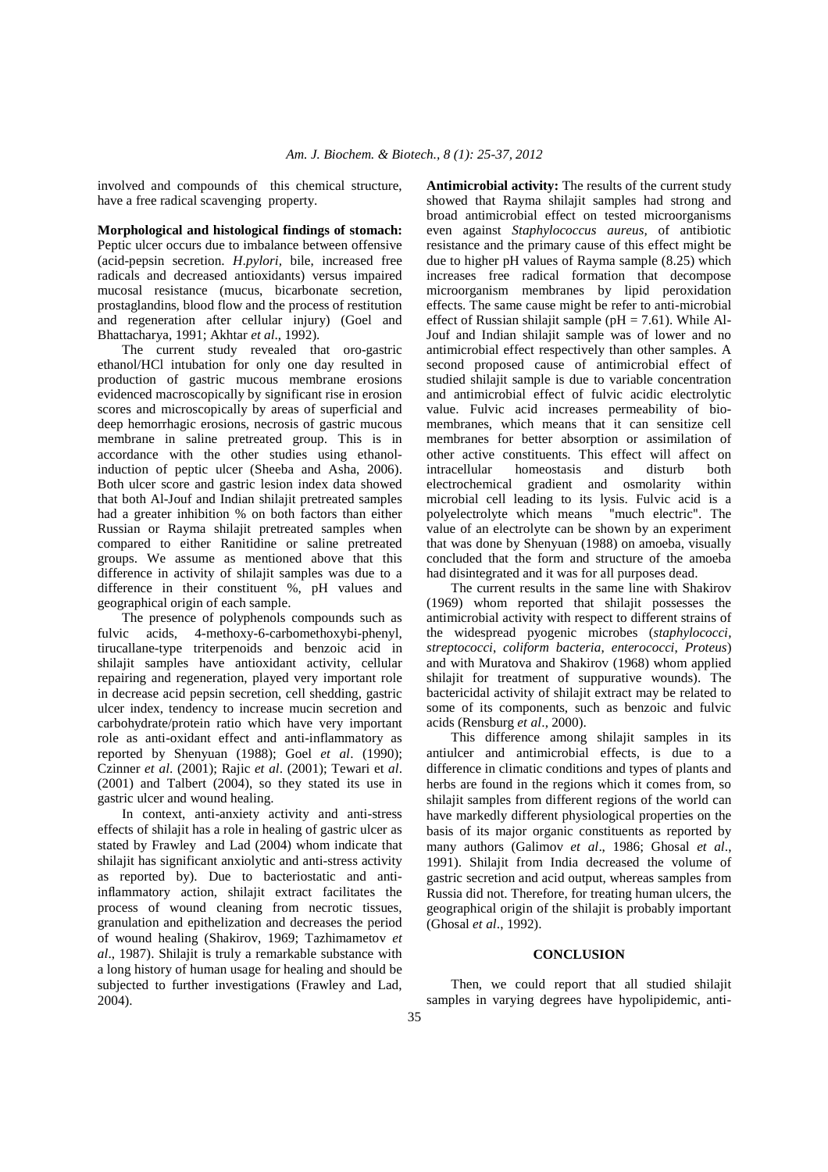involved and compounds of this chemical structure, have a free radical scavenging property.

**Morphological and histological findings of stomach:** Peptic ulcer occurs due to imbalance between offensive (acid-pepsin secretion. *H*.*pylori,* bile, increased free radicals and decreased antioxidants) versus impaired mucosal resistance (mucus, bicarbonate secretion, prostaglandins, blood flow and the process of restitution and regeneration after cellular injury) (Goel and Bhattacharya, 1991; Akhtar *et al*., 1992).

 The current study revealed that oro-gastric ethanol/HCl intubation for only one day resulted in production of gastric mucous membrane erosions evidenced macroscopically by significant rise in erosion scores and microscopically by areas of superficial and deep hemorrhagic erosions, necrosis of gastric mucous membrane in saline pretreated group. This is in accordance with the other studies using ethanolinduction of peptic ulcer (Sheeba and Asha, 2006). Both ulcer score and gastric lesion index data showed that both Al-Jouf and Indian shilajit pretreated samples had a greater inhibition % on both factors than either Russian or Rayma shilajit pretreated samples when compared to either Ranitidine or saline pretreated groups. We assume as mentioned above that this difference in activity of shilajit samples was due to a difference in their constituent %, pH values and geographical origin of each sample.

 The presence of polyphenols compounds such as fulvic acids, 4-methoxy-6-carbomethoxybi-phenyl, tirucallane-type triterpenoids and benzoic acid in shilajit samples have antioxidant activity, cellular repairing and regeneration, played very important role in decrease acid pepsin secretion, cell shedding, gastric ulcer index, tendency to increase mucin secretion and carbohydrate/protein ratio which have very important role as anti-oxidant effect and anti-inflammatory as reported by Shenyuan (1988); Goel *et al*. (1990); Czinner *et al*. (2001); Rajic *et al*. (2001); Tewari et *al*. (2001) and Talbert (2004), so they stated its use in gastric ulcer and wound healing.

 In context, anti-anxiety activity and anti-stress effects of shilajit has a role in healing of gastric ulcer as stated by Frawley and Lad (2004) whom indicate that shilajit has significant anxiolytic and anti-stress activity as reported by). Due to bacteriostatic and antiinflammatory action, shilajit extract facilitates the process of wound cleaning from necrotic tissues, granulation and epithelization and decreases the period of wound healing (Shakirov, 1969; Tazhimametov *et al*., 1987). Shilajit is truly a remarkable substance with a long history of human usage for healing and should be subjected to further investigations (Frawley and Lad, 2004).

**Antimicrobial activity:** The results of the current study showed that Rayma shilajit samples had strong and broad antimicrobial effect on tested microorganisms even against *Staphylococcus aureus,* of antibiotic resistance and the primary cause of this effect might be due to higher pH values of Rayma sample (8.25) which increases free radical formation that decompose microorganism membranes by lipid peroxidation effects. The same cause might be refer to anti-microbial effect of Russian shilajit sample ( $pH = 7.61$ ). While Al-Jouf and Indian shilajit sample was of lower and no antimicrobial effect respectively than other samples. A second proposed cause of antimicrobial effect of studied shilajit sample is due to variable concentration and antimicrobial effect of fulvic acidic electrolytic value. Fulvic acid increases permeability of biomembranes, which means that it can sensitize cell membranes for better absorption or assimilation of other active constituents. This effect will affect on intracellular homeostasis and disturb both electrochemical gradient and osmolarity within microbial cell leading to its lysis. Fulvic acid is a polyelectrolyte which means "much electric". The value of an electrolyte can be shown by an experiment that was done by Shenyuan (1988) on amoeba, visually concluded that the form and structure of the amoeba had disintegrated and it was for all purposes dead.

 The current results in the same line with Shakirov (1969) whom reported that shilajit possesses the antimicrobial activity with respect to different strains of the widespread pyogenic microbes (*staphylococci*, *streptococci*, *coliform bacteria*, *enterococci*, *Proteus*) and with Muratova and Shakirov (1968) whom applied shilajit for treatment of suppurative wounds). The bactericidal activity of shilajit extract may be related to some of its components, such as benzoic and fulvic acids (Rensburg *et al*., 2000).

 This difference among shilajit samples in its antiulcer and antimicrobial effects, is due to a difference in climatic conditions and types of plants and herbs are found in the regions which it comes from, so shilajit samples from different regions of the world can have markedly different physiological properties on the basis of its major organic constituents as reported by many authors (Galimov *et al*., 1986; Ghosal *et al*., 1991). Shilajit from India decreased the volume of gastric secretion and acid output, whereas samples from Russia did not. Therefore, for treating human ulcers, the geographical origin of the shilajit is probably important (Ghosal *et al*., 1992).

# **CONCLUSION**

 Then, we could report that all studied shilajit samples in varying degrees have hypolipidemic, anti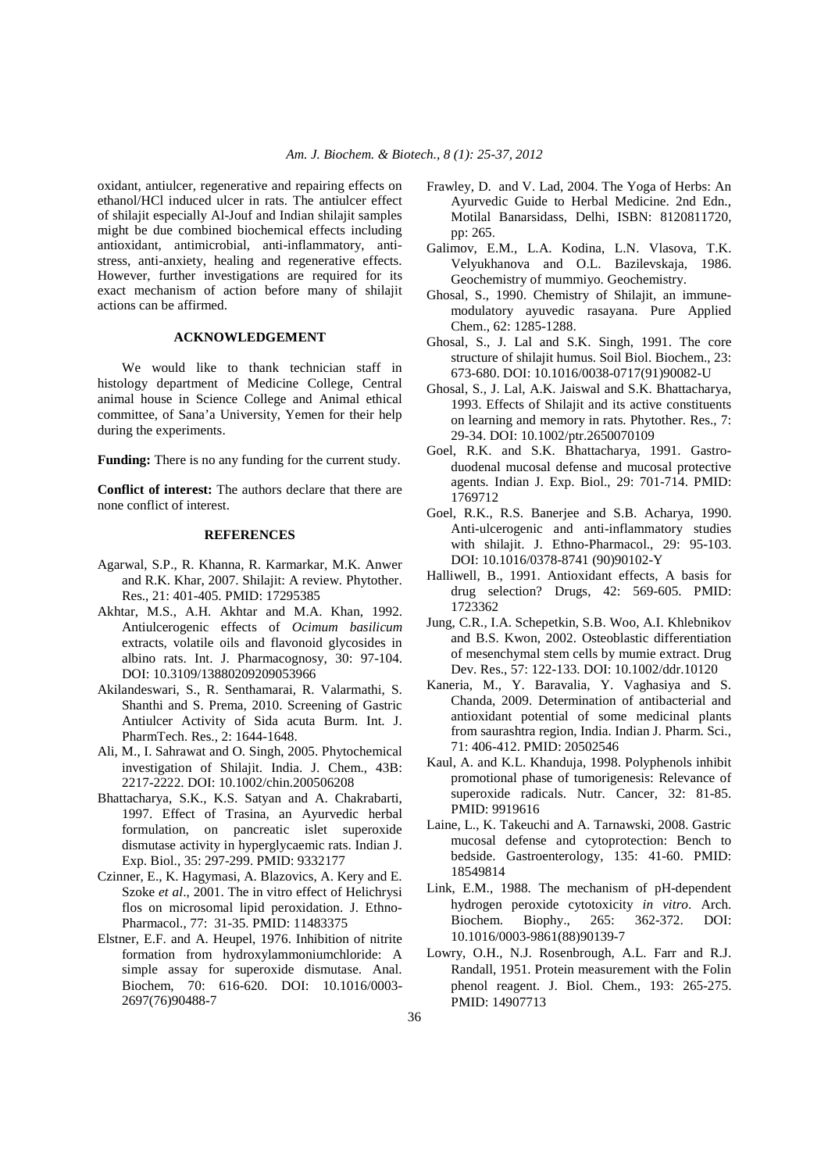oxidant, antiulcer, regenerative and repairing effects on ethanol/HCl induced ulcer in rats. The antiulcer effect of shilajit especially Al-Jouf and Indian shilajit samples might be due combined biochemical effects including antioxidant, antimicrobial, anti-inflammatory, antistress, anti-anxiety, healing and regenerative effects. However, further investigations are required for its exact mechanism of action before many of shilajit actions can be affirmed.

### **ACKNOWLEDGEMENT**

 We would like to thank technician staff in histology department of Medicine College, Central animal house in Science College and Animal ethical committee, of Sana'a University, Yemen for their help during the experiments.

**Funding:** There is no any funding for the current study.

**Conflict of interest:** The authors declare that there are none conflict of interest.

### **REFERENCES**

- Agarwal, S.P., R. Khanna, R. Karmarkar, M.K. Anwer and R.K. Khar, 2007. Shilajit: A review. Phytother. Res., 21: 401-405. PMID: 17295385
- Akhtar, M.S., A.H. Akhtar and M.A. Khan, 1992. Antiulcerogenic effects of *Ocimum basilicum* extracts, volatile oils and flavonoid glycosides in albino rats. Int. J. Pharmacognosy, 30: 97-104. DOI: 10.3109/13880209209053966
- Akilandeswari, S., R. Senthamarai, R. Valarmathi, S. Shanthi and S. Prema, 2010. Screening of Gastric Antiulcer Activity of Sida acuta Burm. Int. J. PharmTech. Res., 2: 1644-1648.
- Ali, M., I. Sahrawat and O. Singh, 2005. Phytochemical investigation of Shilajit. India. J. Chem., 43B: 2217-2222. DOI: 10.1002/chin.200506208
- Bhattacharya, S.K., K.S. Satyan and A. Chakrabarti, 1997. Effect of Trasina, an Ayurvedic herbal formulation, on pancreatic islet superoxide dismutase activity in hyperglycaemic rats. Indian J. Exp. Biol., 35: 297-299. PMID: 9332177
- Czinner, E., K. Hagymasi, A. Blazovics, A. Kery and E. Szoke *et al*., 2001. The in vitro effect of Helichrysi flos on microsomal lipid peroxidation. J. Ethno-Pharmacol., 77: 31-35. PMID: 11483375
- Elstner, E.F. and A. Heupel, 1976. Inhibition of nitrite formation from hydroxylammoniumchloride: A simple assay for superoxide dismutase. Anal. Biochem, 70: 616-620. DOI: 10.1016/0003- 2697(76)90488-7
- Frawley, D. and V. Lad, 2004. The Yoga of Herbs: An Ayurvedic Guide to Herbal Medicine. 2nd Edn., Motilal Banarsidass, Delhi, ISBN: 8120811720, pp: 265.
- Galimov, E.M., L.A. Kodina, L.N. Vlasova, T.K. Velyukhanova and O.L. Bazilevskaja, 1986. Geochemistry of mummiyo. Geochemistry.
- Ghosal, S., 1990. Chemistry of Shilajit, an immunemodulatory ayuvedic rasayana. Pure Applied Chem., 62: 1285-1288.
- Ghosal, S., J. Lal and S.K. Singh, 1991. The core structure of shilajit humus. Soil Biol. Biochem., 23: 673-680. DOI: 10.1016/0038-0717(91)90082-U
- Ghosal, S., J. Lal, A.K. Jaiswal and S.K. Bhattacharya, 1993. Effects of Shilajit and its active constituents on learning and memory in rats. Phytother. Res., 7: 29-34. DOI: 10.1002/ptr.2650070109
- Goel, R.K. and S.K. Bhattacharya, 1991. Gastroduodenal mucosal defense and mucosal protective agents. Indian J. Exp. Biol., 29: 701-714. PMID: 1769712
- Goel, R.K., R.S. Banerjee and S.B. Acharya, 1990. Anti-ulcerogenic and anti-inflammatory studies with shilajit. J. Ethno-Pharmacol., 29: 95-103. DOI: 10.1016/0378-8741 (90)90102-Y
- Halliwell, B., 1991. Antioxidant effects, A basis for drug selection? Drugs, 42: 569-605. PMID: 1723362
- Jung, C.R., I.A. Schepetkin, S.B. Woo, A.I. Khlebnikov and B.S. Kwon, 2002. Osteoblastic differentiation of mesenchymal stem cells by mumie extract. Drug Dev. Res., 57: 122-133. DOI: 10.1002/ddr.10120
- Kaneria, M., Y. Baravalia, Y. Vaghasiya and S. Chanda, 2009. Determination of antibacterial and antioxidant potential of some medicinal plants from saurashtra region, India. Indian J. Pharm. Sci., 71: 406-412. PMID: 20502546
- Kaul, A. and K.L. Khanduja, 1998. Polyphenols inhibit promotional phase of tumorigenesis: Relevance of superoxide radicals. Nutr. Cancer, 32: 81-85. PMID: 9919616
- Laine, L., K. Takeuchi and A. Tarnawski, 2008. Gastric mucosal defense and cytoprotection: Bench to bedside. Gastroenterology, 135: 41-60. PMID: 18549814
- Link, E.M., 1988. The mechanism of pH-dependent hydrogen peroxide cytotoxicity *in vitro*. Arch. Biochem. Biophy., 265: 362-372. DOI: 10.1016/0003-9861(88)90139-7
- Lowry, O.H., N.J. Rosenbrough, A.L. Farr and R.J. Randall, 1951. Protein measurement with the Folin phenol reagent. J. Biol. Chem., 193: 265-275. PMID: 14907713